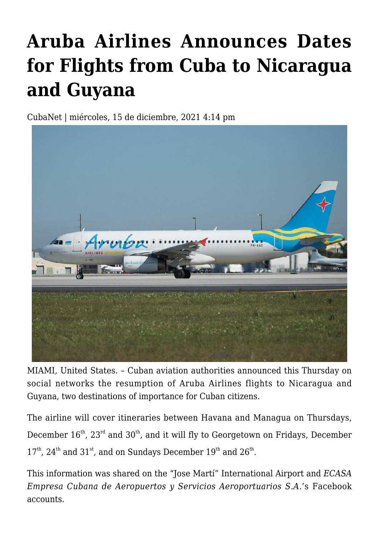## **[Aruba Airlines Announces Dates](https://www.cubanet.org/english/aruba-airlines-announces-dates-for-flights-from-cuba-to-nicaragua-and-guyana/) [for Flights from Cuba to Nicaragua](https://www.cubanet.org/english/aruba-airlines-announces-dates-for-flights-from-cuba-to-nicaragua-and-guyana/) [and Guyana](https://www.cubanet.org/english/aruba-airlines-announces-dates-for-flights-from-cuba-to-nicaragua-and-guyana/)**

CubaNet | miércoles, 15 de diciembre, 2021 4:14 pm



MIAMI, United States. – Cuban aviation authorities announced this Thursday on social networks the resumption of Aruba Airlines flights to Nicaragua and Guyana, two destinations of importance for Cuban citizens.

The airline will cover itineraries between Havana and Managua on Thursdays, December  $16<sup>th</sup>$ ,  $23<sup>rd</sup>$  and  $30<sup>th</sup>$ , and it will fly to Georgetown on Fridays, December  $17<sup>th</sup>$ ,  $24<sup>th</sup>$  and  $31<sup>st</sup>$ , and on Sundays December  $19<sup>th</sup>$  and  $26<sup>th</sup>$ .

This information was shared on the "Jose Martí" International Airport and *ECASA Empresa Cubana de Aeropuertos y Servicios Aeroportuarios S.A*.'s Facebook accounts.